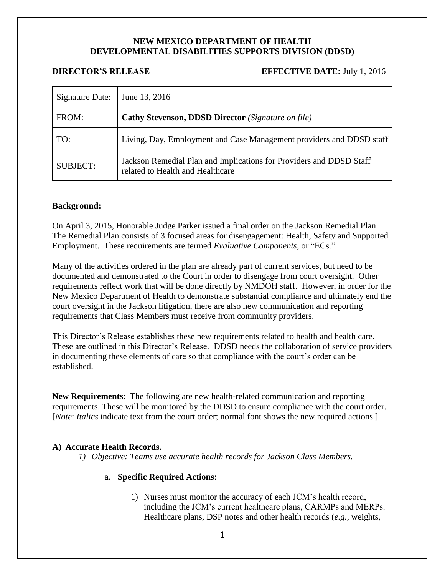# **NEW MEXICO DEPARTMENT OF HEALTH DEVELOPMENTAL DISABILITIES SUPPORTS DIVISION (DDSD)**

## **DIRECTOR'S RELEASE EFFECTIVE DATE:** July 1, 2016

| Signature Date: | June 13, 2016                                                                                           |
|-----------------|---------------------------------------------------------------------------------------------------------|
| FROM:           | <b>Cathy Stevenson, DDSD Director</b> (Signature on file)                                               |
| TO:             | Living, Day, Employment and Case Management providers and DDSD staff                                    |
| <b>SUBJECT:</b> | Jackson Remedial Plan and Implications for Providers and DDSD Staff<br>related to Health and Healthcare |

## **Background:**

On April 3, 2015, Honorable Judge Parker issued a final order on the Jackson Remedial Plan. The Remedial Plan consists of 3 focused areas for disengagement: Health, Safety and Supported Employment. These requirements are termed *Evaluative Components*, or "ECs."

Many of the activities ordered in the plan are already part of current services, but need to be documented and demonstrated to the Court in order to disengage from court oversight. Other requirements reflect work that will be done directly by NMDOH staff. However, in order for the New Mexico Department of Health to demonstrate substantial compliance and ultimately end the court oversight in the Jackson litigation, there are also new communication and reporting requirements that Class Members must receive from community providers.

This Director's Release establishes these new requirements related to health and health care. These are outlined in this Director's Release. DDSD needs the collaboration of service providers in documenting these elements of care so that compliance with the court's order can be established.

**New Requirements**: The following are new health-related communication and reporting requirements. These will be monitored by the DDSD to ensure compliance with the court order. [*Note: Italics* indicate text from the court order; normal font shows the new required actions.]

# **A) Accurate Health Records.**

*1) Objective: Teams use accurate health records for Jackson Class Members.*

#### a. **Specific Required Actions**:

1) Nurses must monitor the accuracy of each JCM's health record, including the JCM's current healthcare plans, CARMPs and MERPs. Healthcare plans, DSP notes and other health records (*e.g.,* weights,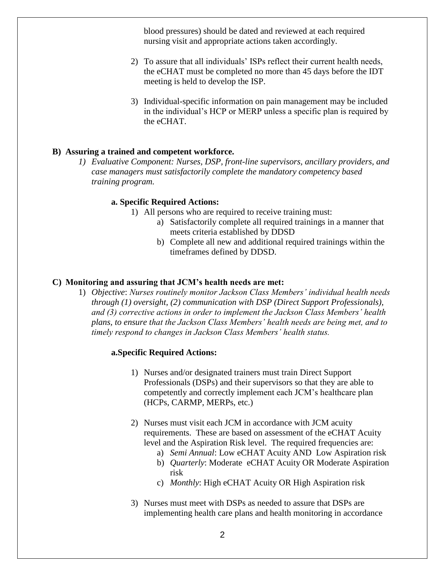blood pressures) should be dated and reviewed at each required nursing visit and appropriate actions taken accordingly.

- 2) To assure that all individuals' ISPs reflect their current health needs, the eCHAT must be completed no more than 45 days before the IDT meeting is held to develop the ISP.
- 3) Individual-specific information on pain management may be included in the individual's HCP or MERP unless a specific plan is required by the eCHAT.

## **B) Assuring a trained and competent workforce.**

*1) Evaluative Component: Nurses, DSP, front-line supervisors, ancillary providers, and case managers must satisfactorily complete the mandatory competency based training program.*

## **a. Specific Required Actions:**

- 1) All persons who are required to receive training must:
	- a) Satisfactorily complete all required trainings in a manner that meets criteria established by DDSD
	- b) Complete all new and additional required trainings within the timeframes defined by DDSD.

#### **C) Monitoring and assuring that JCM's health needs are met:**

1) *Objective*: *Nurses routinely monitor Jackson Class Members' individual health needs through (1) oversight, (2) communication with DSP (Direct Support Professionals), and (3) corrective actions in order to implement the Jackson Class Members' health plans, to ensure that the Jackson Class Members' health needs are being met, and to timely respond to changes in Jackson Class Members' health status.*

#### **a.Specific Required Actions:**

- 1) Nurses and/or designated trainers must train Direct Support Professionals (DSPs) and their supervisors so that they are able to competently and correctly implement each JCM's healthcare plan (HCPs, CARMP, MERPs, etc.)
- 2) Nurses must visit each JCM in accordance with JCM acuity requirements. These are based on assessment of the eCHAT Acuity level and the Aspiration Risk level. The required frequencies are:
	- a) *Semi Annual*: Low eCHAT Acuity AND Low Aspiration risk
	- b) *Quarterly*: Moderate eCHAT Acuity OR Moderate Aspiration risk
	- c) *Monthly*: High eCHAT Acuity OR High Aspiration risk
- 3) Nurses must meet with DSPs as needed to assure that DSPs are implementing health care plans and health monitoring in accordance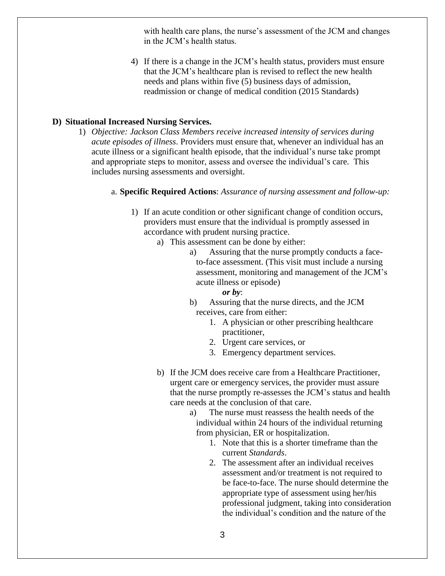with health care plans, the nurse's assessment of the JCM and changes in the JCM's health status.

4) If there is a change in the JCM's health status, providers must ensure that the JCM's healthcare plan is revised to reflect the new health needs and plans within five (5) business days of admission, readmission or change of medical condition (2015 Standards)

# **D) Situational Increased Nursing Services.**

1) *Objective: Jackson Class Members receive increased intensity of services during acute episodes of illness*. Providers must ensure that, whenever an individual has an acute illness or a significant health episode, that the individual's nurse take prompt and appropriate steps to monitor, assess and oversee the individual's care. This includes nursing assessments and oversight.

# a. **Specific Required Actions**: *Assurance of nursing assessment and follow-up:*

- 1) If an acute condition or other significant change of condition occurs, providers must ensure that the individual is promptly assessed in accordance with prudent nursing practice.
	- a) This assessment can be done by either:
		- a) Assuring that the nurse promptly conducts a faceto-face assessment. (This visit must include a nursing assessment, monitoring and management of the JCM's acute illness or episode)
			- *or by*:
		- b) Assuring that the nurse directs, and the JCM receives, care from either:
			- 1. A physician or other prescribing healthcare practitioner,
			- 2. Urgent care services, or
			- 3. Emergency department services.
	- b) If the JCM does receive care from a Healthcare Practitioner, urgent care or emergency services, the provider must assure that the nurse promptly re-assesses the JCM's status and health care needs at the conclusion of that care.
		- a) The nurse must reassess the health needs of the individual within 24 hours of the individual returning from physician, ER or hospitalization.
			- 1. Note that this is a shorter timeframe than the current *Standards*.
			- 2. The assessment after an individual receives assessment and/or treatment is not required to be face-to-face. The nurse should determine the appropriate type of assessment using her/his professional judgment, taking into consideration the individual's condition and the nature of the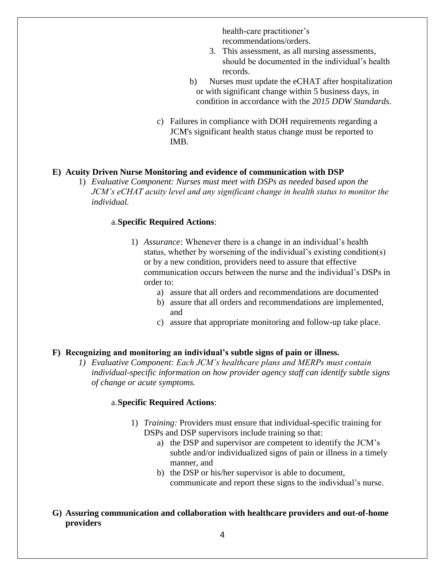health-care practitioner's recommendations/orders.

- 3. This assessment, as all nursing assessments, should be documented in the individual's health records.
- b) Nurses must update the eCHAT after hospitalization or with significant change within 5 business days, in condition in accordance with the *2015 DDW Standards*.
- c) Failures in compliance with DOH requirements regarding a JCM's significant health status change must be reported to IMB.

# **E) Acuity Driven Nurse Monitoring and evidence of communication with DSP**

1) *Evaluative Component: Nurses must meet with DSPs as needed based upon the JCM's eCHAT acuity level and any significant change in health status to monitor the individual.*

# a.**Specific Required Actions**:

- 1) *Assurance:* Whenever there is a change in an individual's health status, whether by worsening of the individual's existing condition(s) or by a new condition, providers need to assure that effective communication occurs between the nurse and the individual's DSPs in order to:
	- a) assure that all orders and recommendations are documented
	- b) assure that all orders and recommendations are implemented, and
	- c) assure that appropriate monitoring and follow-up take place.

# **F) Recognizing and monitoring an individual's subtle signs of pain or illness.**

*1) Evaluative Component: Each JCM's healthcare plans and MERPs must contain individual-specific information on how provider agency staff can identify subtle signs of change or acute symptoms.*

## a.**Specific Required Actions**:

- 1) *Training:* Providers must ensure that individual-specific training for DSPs and DSP supervisors include training so that:
	- a) the DSP and supervisor are competent to identify the JCM's subtle and/or individualized signs of pain or illness in a timely manner, and
	- b) the DSP or his/her supervisor is able to document, communicate and report these signs to the individual's nurse.
- **G) Assuring communication and collaboration with healthcare providers and out-of-home providers**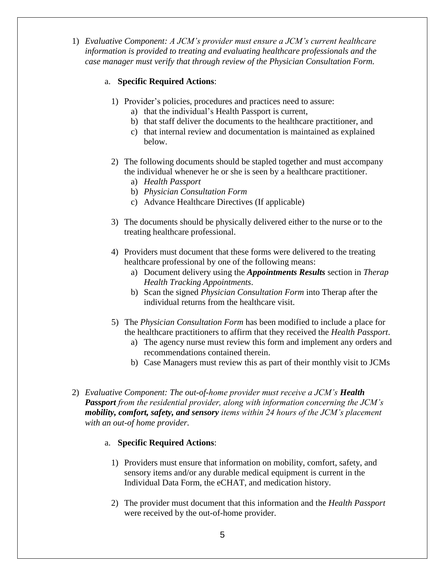1) *Evaluative Component: A JCM's provider must ensure a JCM's current healthcare information is provided to treating and evaluating healthcare professionals and the case manager must verify that through review of the Physician Consultation Form.*

# a. **Specific Required Actions**:

- 1) Provider's policies, procedures and practices need to assure:
	- a) that the individual's Health Passport is current,
	- b) that staff deliver the documents to the healthcare practitioner, and
	- c) that internal review and documentation is maintained as explained below.
- 2) The following documents should be stapled together and must accompany the individual whenever he or she is seen by a healthcare practitioner.
	- a) *Health Passport*
	- b) *Physician Consultation Form*
	- c) Advance Healthcare Directives (If applicable)
- 3) The documents should be physically delivered either to the nurse or to the treating healthcare professional.
- 4) Providers must document that these forms were delivered to the treating healthcare professional by one of the following means:
	- a) Document delivery using the *Appointments Results* section in *Therap Health Tracking Appointments*.
	- b) Scan the signed *Physician Consultation Form* into Therap after the individual returns from the healthcare visit.
- 5) The *Physician Consultation Form* has been modified to include a place for the healthcare practitioners to affirm that they received the *Health Passport*.
	- a) The agency nurse must review this form and implement any orders and recommendations contained therein.
	- b) Case Managers must review this as part of their monthly visit to JCMs
- 2) *Evaluative Component: The out-of-home provider must receive a JCM's Health Passport from the residential provider, along with information concerning the JCM's mobility, comfort, safety, and sensory items within 24 hours of the JCM's placement with an out-of home provider.*

# a. **Specific Required Actions**:

- 1) Providers must ensure that information on mobility, comfort, safety, and sensory items and/or any durable medical equipment is current in the Individual Data Form, the eCHAT, and medication history.
- 2) The provider must document that this information and the *Health Passport* were received by the out-of-home provider.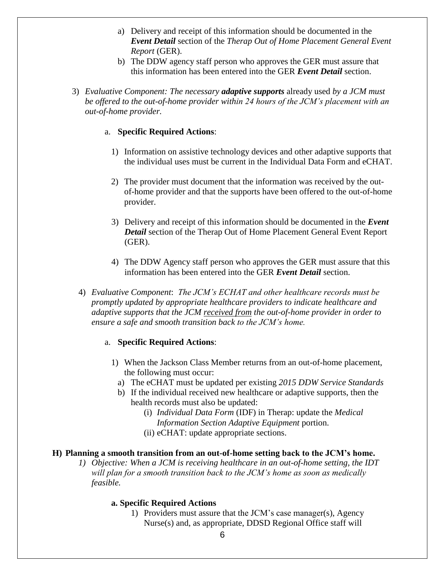- a) Delivery and receipt of this information should be documented in the *Event Detail* section of the *Therap Out of Home Placement General Event Report* (GER).
- b) The DDW agency staff person who approves the GER must assure that this information has been entered into the GER *Event Detail* section.
- 3) *Evaluative Component: The necessary adaptive supports* already used *by a JCM must be offered to the out-of-home provider within 24 hours of the JCM's placement with an out-of-home provider.*

## a. **Specific Required Actions**:

- 1) Information on assistive technology devices and other adaptive supports that the individual uses must be current in the Individual Data Form and eCHAT.
- 2) The provider must document that the information was received by the outof-home provider and that the supports have been offered to the out-of-home provider.
- 3) Delivery and receipt of this information should be documented in the *Event Detail* section of the Therap Out of Home Placement General Event Report (GER).
- 4) The DDW Agency staff person who approves the GER must assure that this information has been entered into the GER *Event Detail* section.
- 4) *Evaluative Component*: *The JCM's ECHAT and other healthcare records must be promptly updated by appropriate healthcare providers to indicate healthcare and adaptive supports that the JCM received from the out-of-home provider in order to ensure a safe and smooth transition back to the JCM's home.*

#### a. **Specific Required Actions**:

- 1) When the Jackson Class Member returns from an out-of-home placement, the following must occur:
	- a) The eCHAT must be updated per existing *2015 DDW Service Standards*
	- b) If the individual received new healthcare or adaptive supports, then the health records must also be updated:
		- (i) *Individual Data Form* (IDF) in Therap: update the *Medical Information Section Adaptive Equipment* portion.
		- (ii) eCHAT: update appropriate sections.

## **H) Planning a smooth transition from an out-of-home setting back to the JCM's home.**

*1) Objective: When a JCM is receiving healthcare in an out-of-home setting, the IDT will plan for a smooth transition back to the JCM's home as soon as medically feasible.*

# **a. Specific Required Actions**

1) Providers must assure that the JCM's case manager(s), Agency Nurse(s) and, as appropriate, DDSD Regional Office staff will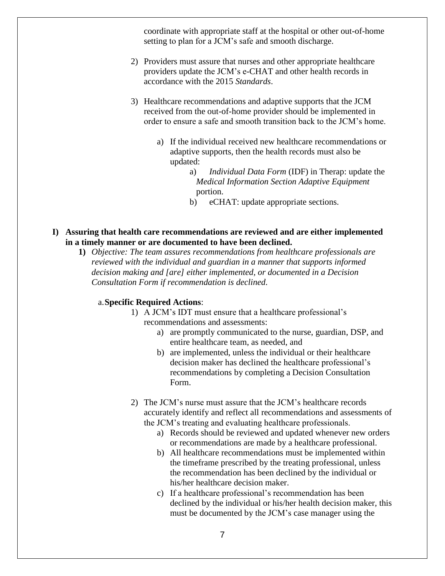coordinate with appropriate staff at the hospital or other out-of-home setting to plan for a JCM's safe and smooth discharge.

- 2) Providers must assure that nurses and other appropriate healthcare providers update the JCM's e-CHAT and other health records in accordance with the 2015 *Standards*.
- 3) Healthcare recommendations and adaptive supports that the JCM received from the out-of-home provider should be implemented in order to ensure a safe and smooth transition back to the JCM's home.
	- a) If the individual received new healthcare recommendations or adaptive supports, then the health records must also be updated:
		- a) *Individual Data Form* (IDF) in Therap: update the *Medical Information Section Adaptive Equipment* portion.
		- b) eCHAT: update appropriate sections.
- **I) Assuring that health care recommendations are reviewed and are either implemented in a timely manner or are documented to have been declined.**
	- **1)** *Objective: The team assures recommendations from healthcare professionals are reviewed with the individual and guardian in a manner that supports informed decision making and [are] either implemented, or documented in a Decision Consultation Form if recommendation is declined.*

#### a.**Specific Required Actions**:

- 1) A JCM's IDT must ensure that a healthcare professional's recommendations and assessments:
	- a) are promptly communicated to the nurse, guardian, DSP, and entire healthcare team, as needed, and
	- b) are implemented, unless the individual or their healthcare decision maker has declined the healthcare professional's recommendations by completing a Decision Consultation Form.
- 2) The JCM's nurse must assure that the JCM's healthcare records accurately identify and reflect all recommendations and assessments of the JCM's treating and evaluating healthcare professionals.
	- a) Records should be reviewed and updated whenever new orders or recommendations are made by a healthcare professional.
	- b) All healthcare recommendations must be implemented within the timeframe prescribed by the treating professional, unless the recommendation has been declined by the individual or his/her healthcare decision maker.
	- c) If a healthcare professional's recommendation has been declined by the individual or his/her health decision maker, this must be documented by the JCM's case manager using the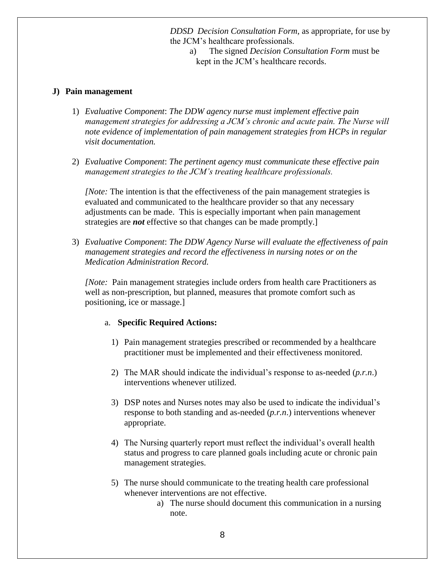*DDSD Decision Consultation Form*, as appropriate, for use by the JCM's healthcare professionals.

a) The signed *Decision Consultation Form* must be kept in the JCM's healthcare records.

## **J) Pain management**

- 1) *Evaluative Component*: *The DDW agency nurse must implement effective pain management strategies for addressing a JCM's chronic and acute pain. The Nurse will note evidence of implementation of pain management strategies from HCPs in regular visit documentation.*
- 2) *Evaluative Component*: *The pertinent agency must communicate these effective pain management strategies to the JCM's treating healthcare professionals.*

*[Note:* The intention is that the effectiveness of the pain management strategies is evaluated and communicated to the healthcare provider so that any necessary adjustments can be made. This is especially important when pain management strategies are *not* effective so that changes can be made promptly.]

3) *Evaluative Component*: *The DDW Agency Nurse will evaluate the effectiveness of pain management strategies and record the effectiveness in nursing notes or on the Medication Administration Record.*

*[Note:* Pain management strategies include orders from health care Practitioners as well as non-prescription, but planned, measures that promote comfort such as positioning, ice or massage.]

#### a. **Specific Required Actions:**

- 1) Pain management strategies prescribed or recommended by a healthcare practitioner must be implemented and their effectiveness monitored.
- 2) The MAR should indicate the individual's response to as-needed (*p.r.n*.) interventions whenever utilized.
- 3) DSP notes and Nurses notes may also be used to indicate the individual's response to both standing and as-needed (*p.r.n*.) interventions whenever appropriate.
- 4) The Nursing quarterly report must reflect the individual's overall health status and progress to care planned goals including acute or chronic pain management strategies.
- 5) The nurse should communicate to the treating health care professional whenever interventions are not effective.
	- a) The nurse should document this communication in a nursing note.